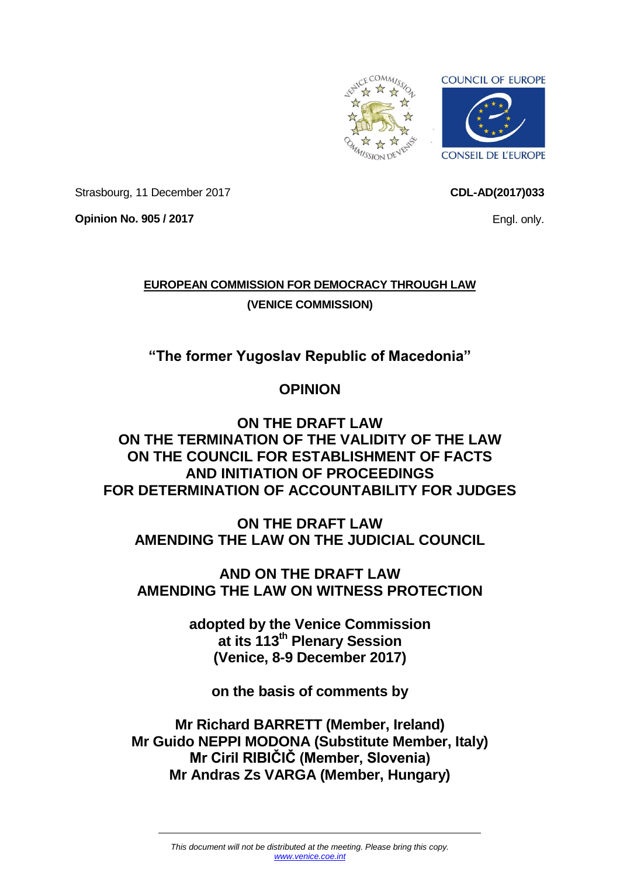<span id="page-0-0"></span>

**CDL-AD(2017)033**

Engl. only.

Strasbourg, 11 December 2017

**Opinion No. 905 / 2017**

**EUROPEAN COMMISSION FOR DEMOCRACY THROUGH LAW (VENICE COMMISSION)**

**"The former Yugoslav Republic of Macedonia"**

# **OPINION**

## **ON THE DRAFT LAW ON THE TERMINATION OF THE VALIDITY OF THE LAW ON THE COUNCIL FOR ESTABLISHMENT OF FACTS AND INITIATION OF PROCEEDINGS FOR DETERMINATION OF ACCOUNTABILITY FOR JUDGES**

**ON THE DRAFT LAW AMENDING THE LAW ON THE JUDICIAL COUNCIL**

**AND ON THE DRAFT LAW AMENDING THE LAW ON WITNESS PROTECTION**

> **adopted by the Venice Commission at its 113th Plenary Session (Venice, 8-9 December 2017)**

**on the basis of comments by**

**Mr Richard BARRETT (Member, Ireland) Mr Guido NEPPI MODONA (Substitute Member, Italy) Mr Ciril RIBIČIČ (Member, Slovenia) Mr Andras Zs VARGA (Member, Hungary)**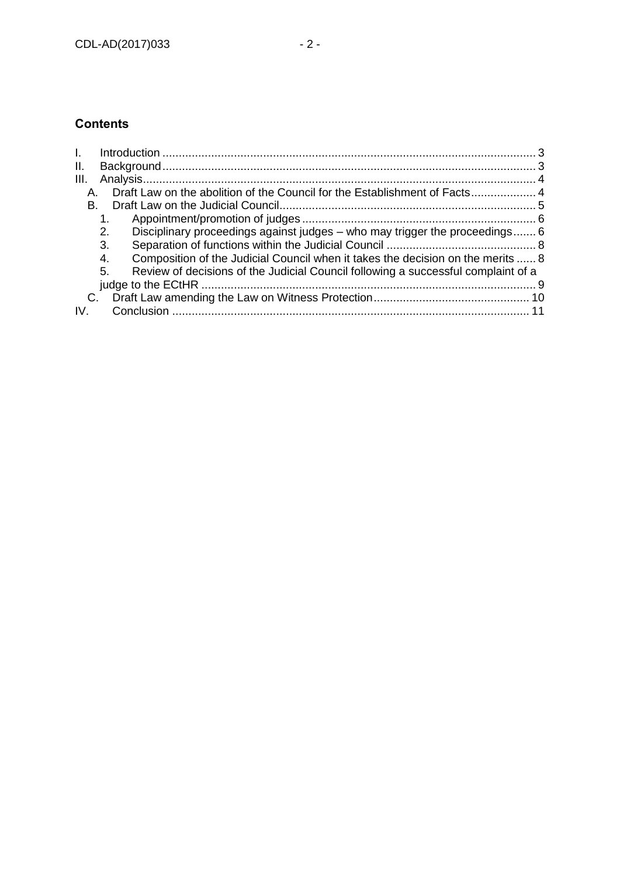## **Contents**

| Η.                                                                                      |  |
|-----------------------------------------------------------------------------------------|--|
| Ш.                                                                                      |  |
| III.                                                                                    |  |
| А.                                                                                      |  |
| В.                                                                                      |  |
|                                                                                         |  |
| Disciplinary proceedings against judges – who may trigger the proceedings 6<br>2.       |  |
| 3.                                                                                      |  |
| Composition of the Judicial Council when it takes the decision on the merits  8<br>4.   |  |
| Review of decisions of the Judicial Council following a successful complaint of a<br>5. |  |
|                                                                                         |  |
| C.                                                                                      |  |
|                                                                                         |  |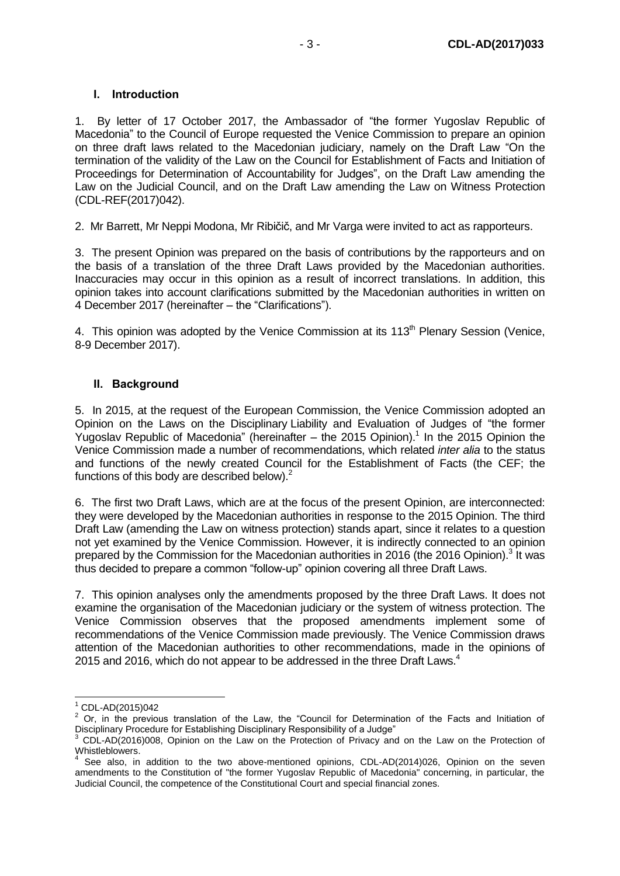### <span id="page-2-0"></span>**I. Introduction**

1. By letter of 17 October 2017, the Ambassador of "the former Yugoslav Republic of Macedonia" to the Council of Europe requested the Venice Commission to prepare an opinion on three draft laws related to the Macedonian judiciary, namely on the Draft Law "On the termination of the validity of the Law on the Council for Establishment of Facts and Initiation of Proceedings for Determination of Accountability for Judges", on the Draft Law amending the Law on the Judicial Council, and on the Draft Law amending the Law on Witness Protection (CDL-REF(2017)042).

2. Mr Barrett, Mr Neppi Modona, Mr Ribičič, and Mr Varga were invited to act as rapporteurs.

3. The present Opinion was prepared on the basis of contributions by the rapporteurs and on the basis of a translation of the three Draft Laws provided by the Macedonian authorities. Inaccuracies may occur in this opinion as a result of incorrect translations. In addition, this opinion takes into account clarifications submitted by the Macedonian authorities in written on 4 December 2017 (hereinafter – the "Clarifications").

4. This opinion was adopted by the Venice Commission at its  $113<sup>th</sup>$  Plenary Session (Venice, 8-9 December 2017).

### <span id="page-2-1"></span>**II. Background**

5. In 2015, at the request of the European Commission, the Venice Commission adopted an Opinion on the Laws on the Disciplinary Liability and Evaluation of Judges of "the former Yugoslav Republic of Macedonia" (hereinafter – the 2015 Opinion). 1 In the 2015 Opinion the Venice Commission made a number of recommendations, which related *inter alia* to the status and functions of the newly created Council for the Establishment of Facts (the CEF; the functions of this body are described below).<sup>2</sup>

6. The first two Draft Laws, which are at the focus of the present Opinion, are interconnected: they were developed by the Macedonian authorities in response to the 2015 Opinion. The third Draft Law (amending the Law on witness protection) stands apart, since it relates to a question not yet examined by the Venice Commission. However, it is indirectly connected to an opinion prepared by the Commission for the Macedonian authorities in 2016 (the 2016 Opinion).<sup>3</sup> It was thus decided to prepare a common "follow-up" opinion covering all three Draft Laws.

7. This opinion analyses only the amendments proposed by the three Draft Laws. It does not examine the organisation of the Macedonian judiciary or the system of witness protection. The Venice Commission observes that the proposed amendments implement some of recommendations of the Venice Commission made previously. The Venice Commission draws attention of the Macedonian authorities to other recommendations, made in the opinions of 2015 and 2016, which do not appear to be addressed in the three Draft Laws.<sup>4</sup>

-

 $1^1$  CDL-AD(2015)042

<sup>&</sup>lt;sup>2</sup> Or, in the previous translation of the Law, the "Council for Determination of the Facts and Initiation of Disciplinary Procedure for Establishing Disciplinary Responsibility of a Judge"

<sup>3</sup> CDL-AD(2016)008, Opinion on the Law on the Protection of Privacy and on the Law on the Protection of Whistleblowers.

<sup>4</sup> See also, in addition to the two above-mentioned opinions, CDL-AD(2014)026, Opinion on the seven amendments to the Constitution of "the former Yugoslav Republic of Macedonia" concerning, in particular, the Judicial Council, the competence of the Constitutional Court and special financial zones.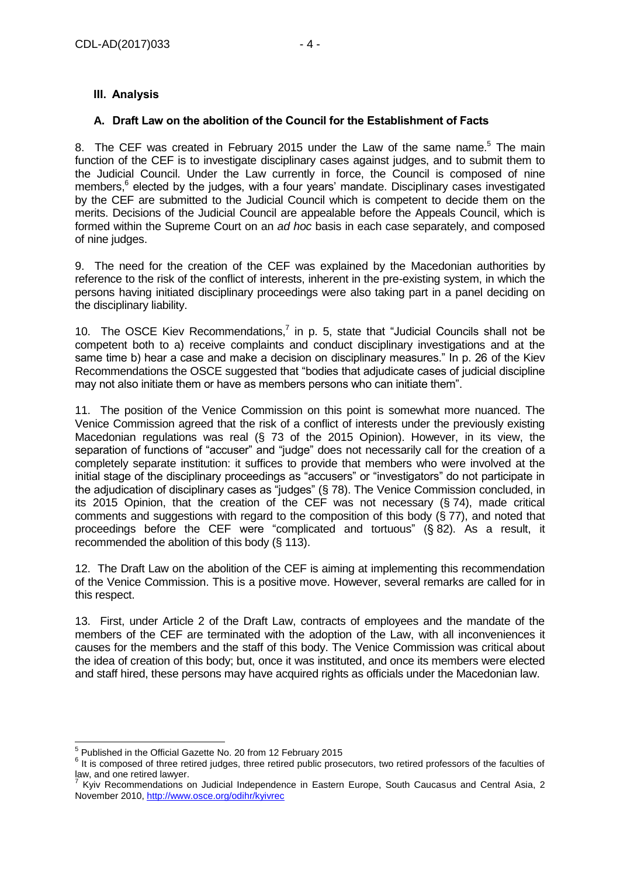## <span id="page-3-0"></span>**III. Analysis**

### <span id="page-3-1"></span>**A. Draft Law on the abolition of the Council for the Establishment of Facts**

8. The CEF was created in February 2015 under the Law of the same name.<sup>5</sup> The main function of the CEF is to investigate disciplinary cases against judges, and to submit them to the Judicial Council. Under the Law currently in force, the Council is composed of nine members,<sup>6</sup> elected by the judges, with a four years' mandate. Disciplinary cases investigated by the CEF are submitted to the Judicial Council which is competent to decide them on the merits. Decisions of the Judicial Council are appealable before the Appeals Council, which is formed within the Supreme Court on an *ad hoc* basis in each case separately, and composed of nine judges.

9. The need for the creation of the CEF was explained by the Macedonian authorities by reference to the risk of the conflict of interests, inherent in the pre-existing system, in which the persons having initiated disciplinary proceedings were also taking part in a panel deciding on the disciplinary liability.

10. The OSCE Kiev Recommendations,<sup>7</sup> in p. 5, state that "Judicial Councils shall not be competent both to a) receive complaints and conduct disciplinary investigations and at the same time b) hear a case and make a decision on disciplinary measures." In p. 26 of the Kiev Recommendations the OSCE suggested that "bodies that adjudicate cases of judicial discipline may not also initiate them or have as members persons who can initiate them".

11. The position of the Venice Commission on this point is somewhat more nuanced. The Venice Commission agreed that the risk of a conflict of interests under the previously existing Macedonian regulations was real (§ 73 of the 2015 Opinion). However, in its view, the separation of functions of "accuser" and "judge" does not necessarily call for the creation of a completely separate institution: it suffices to provide that members who were involved at the initial stage of the disciplinary proceedings as "accusers" or "investigators" do not participate in the adjudication of disciplinary cases as "judges" (§ 78). The Venice Commission concluded, in its 2015 Opinion, that the creation of the CEF was not necessary (§ 74), made critical comments and suggestions with regard to the composition of this body (§ 77), and noted that proceedings before the CEF were "complicated and tortuous" (§ 82). As a result, it recommended the abolition of this body (§ 113).

12. The Draft Law on the abolition of the CEF is aiming at implementing this recommendation of the Venice Commission. This is a positive move. However, several remarks are called for in this respect.

13. First, under Article 2 of the Draft Law, contracts of employees and the mandate of the members of the CEF are terminated with the adoption of the Law, with all inconveniences it causes for the members and the staff of this body. The Venice Commission was critical about the idea of creation of this body; but, once it was instituted, and once its members were elected and staff hired, these persons may have acquired rights as officials under the Macedonian law.

 5 Published in the Official Gazette No. 20 from 12 February 2015

<sup>&</sup>lt;sup>6</sup> It is composed of three retired judges, three retired public prosecutors, two retired professors of the faculties of law, and one retired lawyer.

<sup>7</sup> Kyiv Recommendations on Judicial Independence in Eastern Europe, South Caucasus and Central Asia, 2 November 2010, <http://www.osce.org/odihr/kyivrec>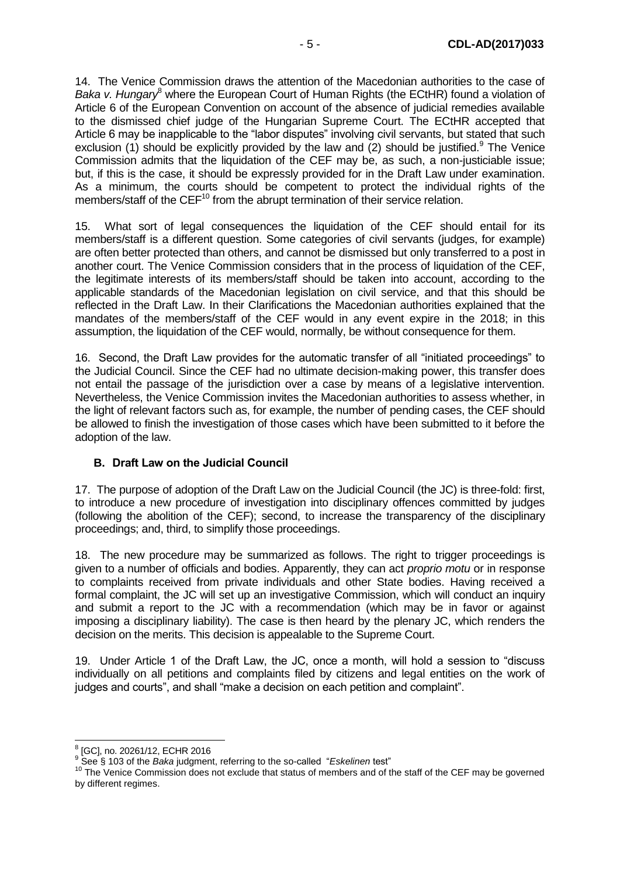14. The Venice Commission draws the attention of the Macedonian authorities to the case of *Baka v. Hungary*<sup>8</sup> where the European Court of Human Rights (the ECtHR) found a violation of Article 6 of the European Convention on account of the absence of judicial remedies available to the dismissed chief judge of the Hungarian Supreme Court. The ECtHR accepted that Article 6 may be inapplicable to the "labor disputes" involving civil servants, but stated that such exclusion (1) should be explicitly provided by the law and  $(2)$  should be justified.<sup>9</sup> The Venice Commission admits that the liquidation of the CEF may be, as such, a non-justiciable issue; but, if this is the case, it should be expressly provided for in the Draft Law under examination. As a minimum, the courts should be competent to protect the individual rights of the members/staff of the CEF<sup>10</sup> from the abrupt termination of their service relation.

15. What sort of legal consequences the liquidation of the CEF should entail for its members/staff is a different question. Some categories of civil servants (judges, for example) are often better protected than others, and cannot be dismissed but only transferred to a post in another court. The Venice Commission considers that in the process of liquidation of the CEF, the legitimate interests of its members/staff should be taken into account, according to the applicable standards of the Macedonian legislation on civil service, and that this should be reflected in the Draft Law. In their Clarifications the Macedonian authorities explained that the mandates of the members/staff of the CEF would in any event expire in the 2018; in this assumption, the liquidation of the CEF would, normally, be without consequence for them.

16. Second, the Draft Law provides for the automatic transfer of all "initiated proceedings" to the Judicial Council. Since the CEF had no ultimate decision-making power, this transfer does not entail the passage of the jurisdiction over a case by means of a legislative intervention. Nevertheless, the Venice Commission invites the Macedonian authorities to assess whether, in the light of relevant factors such as, for example, the number of pending cases, the CEF should be allowed to finish the investigation of those cases which have been submitted to it before the adoption of the law.

### <span id="page-4-0"></span>**B. Draft Law on the Judicial Council**

17. The purpose of adoption of the Draft Law on the Judicial Council (the JC) is three-fold: first, to introduce a new procedure of investigation into disciplinary offences committed by judges (following the abolition of the CEF); second, to increase the transparency of the disciplinary proceedings; and, third, to simplify those proceedings.

18. The new procedure may be summarized as follows. The right to trigger proceedings is given to a number of officials and bodies. Apparently, they can act *proprio motu* or in response to complaints received from private individuals and other State bodies. Having received a formal complaint, the JC will set up an investigative Commission, which will conduct an inquiry and submit a report to the JC with a recommendation (which may be in favor or against imposing a disciplinary liability). The case is then heard by the plenary JC, which renders the decision on the merits. This decision is appealable to the Supreme Court.

19. Under Article 1 of the Draft Law, the JC, once a month, will hold a session to "discuss individually on all petitions and complaints filed by citizens and legal entities on the work of judges and courts", and shall "make a decision on each petition and complaint".

 8 [GC], no. 20261/12, ECHR 2016

<sup>9</sup> See § 103 of the *Baka* judgment, referring to the so-called "*Eskelinen* test"

<sup>&</sup>lt;sup>10</sup> The Venice Commission does not exclude that status of members and of the staff of the CEF may be governed by different regimes.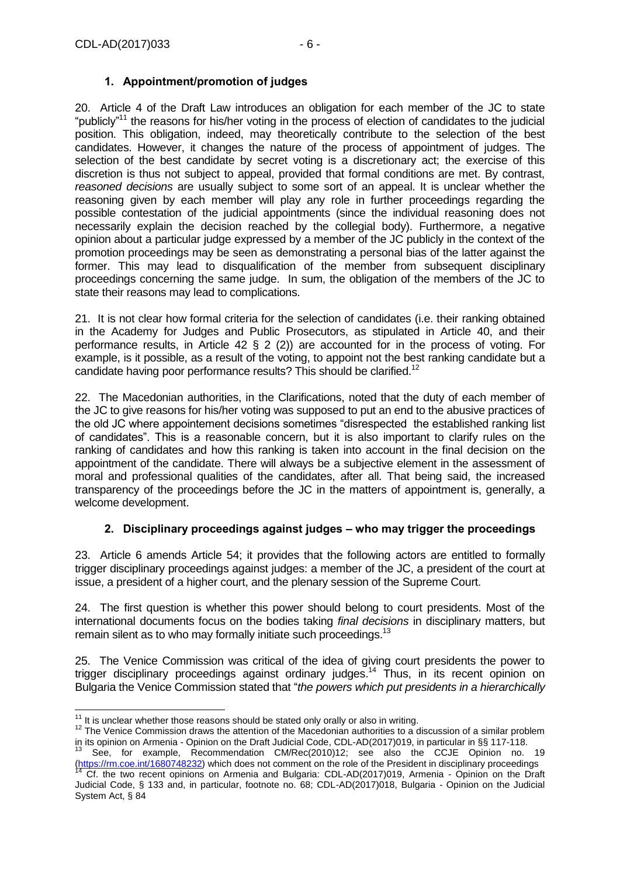## **1. Appointment/promotion of judges**

<span id="page-5-0"></span>20. Article 4 of the Draft Law introduces an obligation for each member of the JC to state "publicly"<sup>11</sup> the reasons for his/her voting in the process of election of candidates to the judicial position. This obligation, indeed, may theoretically contribute to the selection of the best candidates. However, it changes the nature of the process of appointment of judges. The selection of the best candidate by secret voting is a discretionary act; the exercise of this discretion is thus not subject to appeal, provided that formal conditions are met. By contrast, *reasoned decisions* are usually subject to some sort of an appeal. It is unclear whether the reasoning given by each member will play any role in further proceedings regarding the possible contestation of the judicial appointments (since the individual reasoning does not necessarily explain the decision reached by the collegial body). Furthermore, a negative opinion about a particular judge expressed by a member of the JC publicly in the context of the promotion proceedings may be seen as demonstrating a personal bias of the latter against the former. This may lead to disqualification of the member from subsequent disciplinary proceedings concerning the same judge. In sum, the obligation of the members of the JC to state their reasons may lead to complications.

21. It is not clear how formal criteria for the selection of candidates (i.e. their ranking obtained in the Academy for Judges and Public Prosecutors, as stipulated in Article 40, and their performance results, in Article 42 § 2 (2)) are accounted for in the process of voting. For example, is it possible, as a result of the voting, to appoint not the best ranking candidate but a candidate having poor performance results? This should be clarified.<sup>12</sup>

22. The Macedonian authorities, in the Clarifications, noted that the duty of each member of the JC to give reasons for his/her voting was supposed to put an end to the abusive practices of the old JC where appointement decisions sometimes "disrespected the established ranking list of candidates". This is a reasonable concern, but it is also important to clarify rules on the ranking of candidates and how this ranking is taken into account in the final decision on the appointment of the candidate. There will always be a subjective element in the assessment of moral and professional qualities of the candidates, after all. That being said, the increased transparency of the proceedings before the JC in the matters of appointment is, generally, a welcome development.

## **2. Disciplinary proceedings against judges – who may trigger the proceedings**

<span id="page-5-1"></span>23. Article 6 amends Article 54; it provides that the following actors are entitled to formally trigger disciplinary proceedings against judges: a member of the JC, a president of the court at issue, a president of a higher court, and the plenary session of the Supreme Court.

24. The first question is whether this power should belong to court presidents. Most of the international documents focus on the bodies taking *final decisions* in disciplinary matters, but remain silent as to who may formally initiate such proceedings.<sup>13</sup>

25. The Venice Commission was critical of the idea of giving court presidents the power to trigger disciplinary proceedings against ordinary judges.<sup>14</sup> Thus, in its recent opinion on Bulgaria the Venice Commission stated that "*the powers which put presidents in a hierarchically* 

<sup>-</sup> $11$  It is unclear whether those reasons should be stated only orally or also in writing.

<sup>&</sup>lt;sup>12</sup> The Venice Commission draws the attention of the Macedonian authorities to a discussion of a similar problem in its opinion on Armenia - Opinion on the Draft Judicial Code, CDL-AD(2017)019, in particular in §§ 117-118.

<sup>13</sup> See, for example, Recommendation CM/Rec(2010)12; see also the CCJE Opinion no. 19 [\(https://rm.coe.int/1680748232\)](https://rm.coe.int/1680748232) which does not comment on the role of the President in disciplinary proceedings Cf. the two recent opinions on Armenia and Bulgaria: CDL-AD(2017)019, Armenia - Opinion on the Draft

Judicial Code, § 133 and, in particular, footnote no. 68; CDL-AD(2017)018, Bulgaria - Opinion on the Judicial System Act, § 84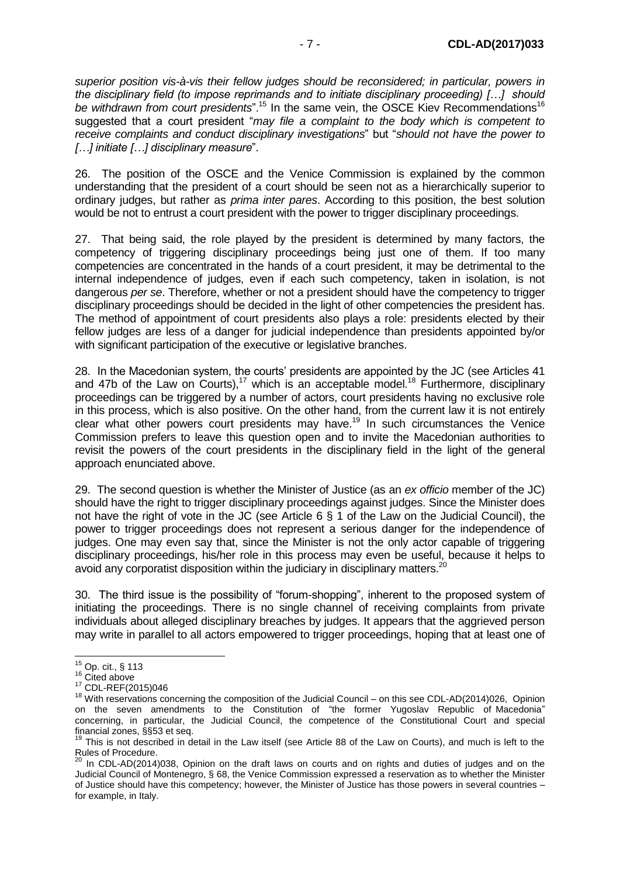*superior position vis-à-vis their fellow judges should be reconsidered; in particular, powers in the disciplinary field (to impose reprimands and to initiate disciplinary proceeding) […] should*  be withdrawn from court presidents".<sup>15</sup> In the same vein, the OSCE Kiev Recommendations<sup>16</sup> suggested that a court president "*may file a complaint to the body which is competent to receive complaints and conduct disciplinary investigations*" but "*should not have the power to […] initiate […] disciplinary measure*".

26. The position of the OSCE and the Venice Commission is explained by the common understanding that the president of a court should be seen not as a hierarchically superior to ordinary judges, but rather as *prima inter pares*. According to this position, the best solution would be not to entrust a court president with the power to trigger disciplinary proceedings.

27. That being said, the role played by the president is determined by many factors, the competency of triggering disciplinary proceedings being just one of them. If too many competencies are concentrated in the hands of a court president, it may be detrimental to the internal independence of judges, even if each such competency, taken in isolation, is not dangerous *per se*. Therefore, whether or not a president should have the competency to trigger disciplinary proceedings should be decided in the light of other competencies the president has. The method of appointment of court presidents also plays a role: presidents elected by their fellow judges are less of a danger for judicial independence than presidents appointed by/or with significant participation of the executive or legislative branches.

28. In the Macedonian system, the courts' presidents are appointed by the JC (see Articles 41 and 47b of the Law on Courts),<sup>17</sup> which is an acceptable model.<sup>18</sup> Furthermore, disciplinary proceedings can be triggered by a number of actors, court presidents having no exclusive role in this process, which is also positive. On the other hand, from the current law it is not entirely clear what other powers court presidents may have.<sup>19</sup> In such circumstances the Venice Commission prefers to leave this question open and to invite the Macedonian authorities to revisit the powers of the court presidents in the disciplinary field in the light of the general approach enunciated above.

29. The second question is whether the Minister of Justice (as an *ex officio* member of the JC) should have the right to trigger disciplinary proceedings against judges. Since the Minister does not have the right of vote in the JC (see Article 6 § 1 of the Law on the Judicial Council), the power to trigger proceedings does not represent a serious danger for the independence of judges. One may even say that, since the Minister is not the only actor capable of triggering disciplinary proceedings, his/her role in this process may even be useful, because it helps to avoid any corporatist disposition within the judiciary in disciplinary matters.<sup>20</sup>

30. The third issue is the possibility of "forum-shopping", inherent to the proposed system of initiating the proceedings. There is no single channel of receiving complaints from private individuals about alleged disciplinary breaches by judges. It appears that the aggrieved person may write in parallel to all actors empowered to trigger proceedings, hoping that at least one of

<sup>-</sup> $^{15}$  Op. cit., § 113

<sup>&</sup>lt;sup>16</sup> Cited above

<sup>17</sup> CDL-REF(2015)046

<sup>&</sup>lt;sup>18</sup> With reservations concerning the composition of the Judicial Council – on this see CDL-AD(2014)026, Opinion on the seven amendments to the Constitution of "the former Yugoslav Republic of Macedonia" concerning, in particular, the Judicial Council, the competence of the Constitutional Court and special financial zones, §§53 et seq.

<sup>19</sup> This is not described in detail in the Law itself (see Article 88 of the Law on Courts), and much is left to the Rules of Procedure.

 $^{20}$  In CDL-AD(2014)038, Opinion on the draft laws on courts and on rights and duties of judges and on the Judicial Council of Montenegro, § 68, the Venice Commission expressed a reservation as to whether the Minister of Justice should have this competency; however, the Minister of Justice has those powers in several countries – for example, in Italy.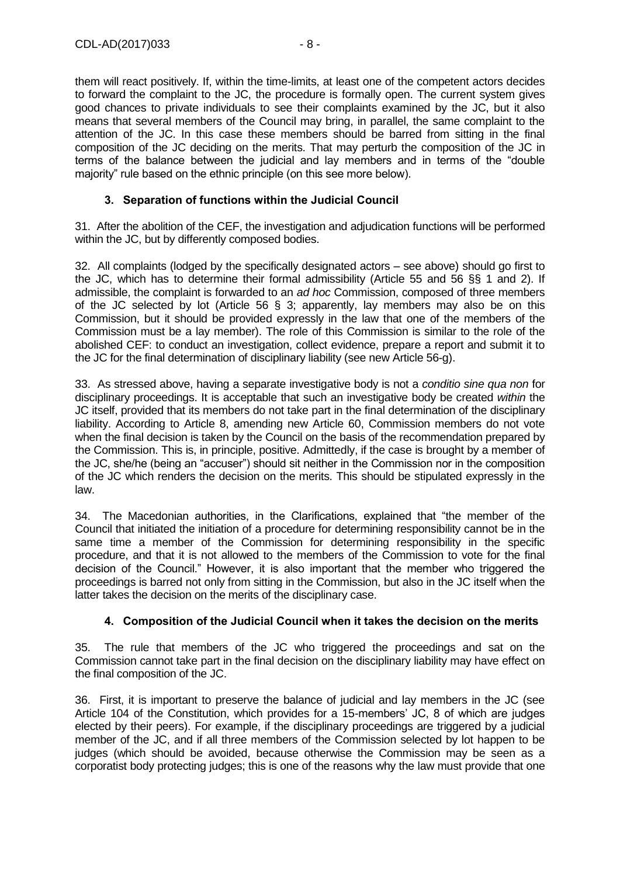them will react positively. If, within the time-limits, at least one of the competent actors decides to forward the complaint to the JC, the procedure is formally open. The current system gives good chances to private individuals to see their complaints examined by the JC, but it also means that several members of the Council may bring, in parallel, the same complaint to the attention of the JC. In this case these members should be barred from sitting in the final composition of the JC deciding on the merits. That may perturb the composition of the JC in terms of the balance between the judicial and lay members and in terms of the "double majority" rule based on the ethnic principle (on this see more below).

## **3. Separation of functions within the Judicial Council**

<span id="page-7-0"></span>31. After the abolition of the CEF, the investigation and adjudication functions will be performed within the JC, but by differently composed bodies.

32. All complaints (lodged by the specifically designated actors – see above) should go first to the JC, which has to determine their formal admissibility (Article 55 and 56 §§ 1 and 2). If admissible, the complaint is forwarded to an *ad hoc* Commission, composed of three members of the JC selected by lot (Article 56 § 3; apparently, lay members may also be on this Commission, but it should be provided expressly in the law that one of the members of the Commission must be a lay member). The role of this Commission is similar to the role of the abolished CEF: to conduct an investigation, collect evidence, prepare a report and submit it to the JC for the final determination of disciplinary liability (see new Article 56-g).

33. As stressed above, having a separate investigative body is not a *conditio sine qua non* for disciplinary proceedings. It is acceptable that such an investigative body be created *within* the JC itself, provided that its members do not take part in the final determination of the disciplinary liability. According to Article 8, amending new Article 60, Commission members do not vote when the final decision is taken by the Council on the basis of the recommendation prepared by the Commission. This is, in principle, positive. Admittedly, if the case is brought by a member of the JC, she/he (being an "accuser") should sit neither in the Commission nor in the composition of the JC which renders the decision on the merits. This should be stipulated expressly in the law.

34. The Macedonian authorities, in the Clarifications, explained that "the member of the Council that initiated the initiation of a procedure for determining responsibility cannot be in the same time a member of the Commission for determining responsibility in the specific procedure, and that it is not allowed to the members of the Commission to vote for the final decision of the Council." However, it is also important that the member who triggered the proceedings is barred not only from sitting in the Commission, but also in the JC itself when the latter takes the decision on the merits of the disciplinary case.

## **4. Composition of the Judicial Council when it takes the decision on the merits**

<span id="page-7-1"></span>35. The rule that members of the JC who triggered the proceedings and sat on the Commission cannot take part in the final decision on the disciplinary liability may have effect on the final composition of the JC.

36. First, it is important to preserve the balance of judicial and lay members in the JC (see Article 104 of the Constitution, which provides for a 15-members' JC, 8 of which are judges elected by their peers). For example, if the disciplinary proceedings are triggered by a judicial member of the JC, and if all three members of the Commission selected by lot happen to be judges (which should be avoided, because otherwise the Commission may be seen as a corporatist body protecting judges; this is one of the reasons why the law must provide that one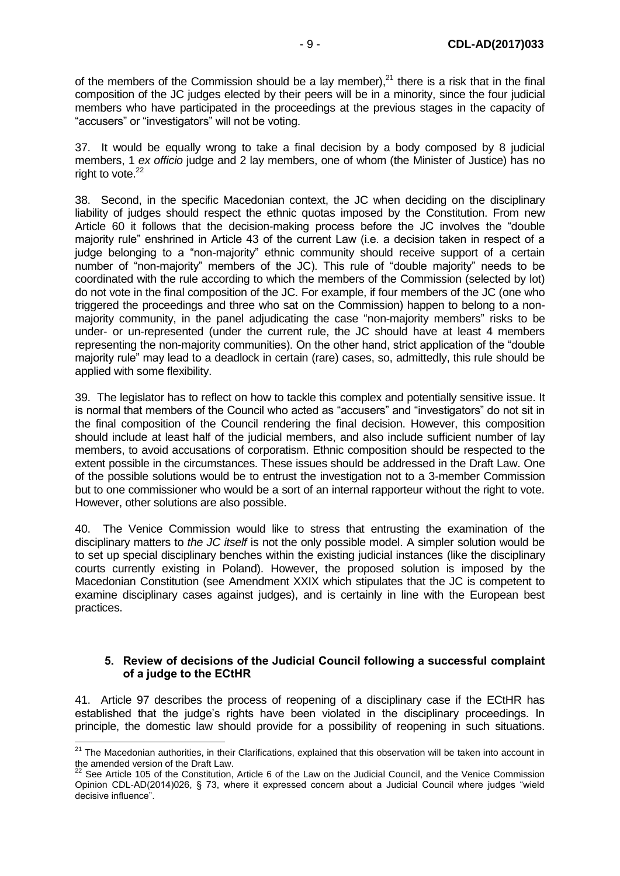of the members of the Commission should be a lay member), $^{21}$  there is a risk that in the final composition of the JC judges elected by their peers will be in a minority, since the four judicial members who have participated in the proceedings at the previous stages in the capacity of "accusers" or "investigators" will not be voting.

37. It would be equally wrong to take a final decision by a body composed by 8 judicial members, 1 *ex officio* judge and 2 lay members, one of whom (the Minister of Justice) has no right to vote. $22$ 

38. Second, in the specific Macedonian context, the JC when deciding on the disciplinary liability of judges should respect the ethnic quotas imposed by the Constitution. From new Article 60 it follows that the decision-making process before the JC involves the "double majority rule" enshrined in Article 43 of the current Law (i.e. a decision taken in respect of a judge belonging to a "non-majority" ethnic community should receive support of a certain number of "non-majority" members of the JC). This rule of "double majority" needs to be coordinated with the rule according to which the members of the Commission (selected by lot) do not vote in the final composition of the JC. For example, if four members of the JC (one who triggered the proceedings and three who sat on the Commission) happen to belong to a nonmajority community, in the panel adjudicating the case "non-majority members" risks to be under- or un-represented (under the current rule, the JC should have at least 4 members representing the non-majority communities). On the other hand, strict application of the "double majority rule" may lead to a deadlock in certain (rare) cases, so, admittedly, this rule should be applied with some flexibility.

39. The legislator has to reflect on how to tackle this complex and potentially sensitive issue. It is normal that members of the Council who acted as "accusers" and "investigators" do not sit in the final composition of the Council rendering the final decision. However, this composition should include at least half of the judicial members, and also include sufficient number of lay members, to avoid accusations of corporatism. Ethnic composition should be respected to the extent possible in the circumstances. These issues should be addressed in the Draft Law. One of the possible solutions would be to entrust the investigation not to a 3-member Commission but to one commissioner who would be a sort of an internal rapporteur without the right to vote. However, other solutions are also possible.

40. The Venice Commission would like to stress that entrusting the examination of the disciplinary matters to *the JC itself* is not the only possible model. A simpler solution would be to set up special disciplinary benches within the existing judicial instances (like the disciplinary courts currently existing in Poland). However, the proposed solution is imposed by the Macedonian Constitution (see Amendment XXIX which stipulates that the JC is competent to examine disciplinary cases against judges), and is certainly in line with the European best practices.

### <span id="page-8-0"></span>**5. Review of decisions of the Judicial Council following a successful complaint of a judge to the ECtHR**

41. Article 97 describes the process of reopening of a disciplinary case if the ECtHR has established that the judge's rights have been violated in the disciplinary proceedings. In principle, the domestic law should provide for a possibility of reopening in such situations.

 $\overline{a}$ 

<sup>&</sup>lt;sup>21</sup> The Macedonian authorities, in their Clarifications, explained that this observation will be taken into account in the amended version of the Draft Law.

 $^{22}$  See Article 105 of the Constitution, Article 6 of the Law on the Judicial Council, and the Venice Commission Opinion CDL-AD(2014)026, § 73, where it expressed concern about a Judicial Council where judges "wield decisive influence".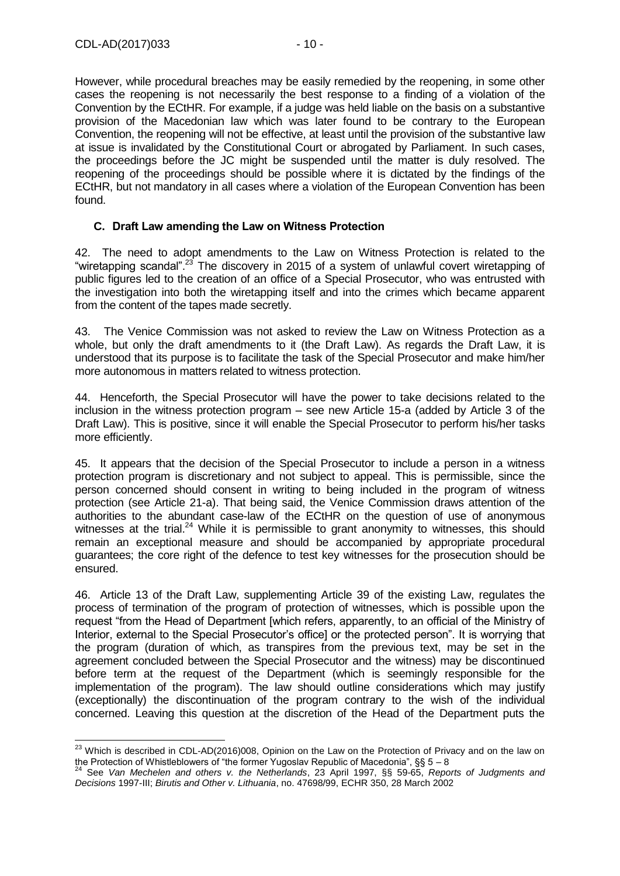However, while procedural breaches may be easily remedied by the reopening, in some other cases the reopening is not necessarily the best response to a finding of a violation of the Convention by the ECtHR. For example, if a judge was held liable on the basis on a substantive provision of the Macedonian law which was later found to be contrary to the European Convention, the reopening will not be effective, at least until the provision of the substantive law at issue is invalidated by the Constitutional Court or abrogated by Parliament. In such cases, the proceedings before the JC might be suspended until the matter is duly resolved. The reopening of the proceedings should be possible where it is dictated by the findings of the ECtHR, but not mandatory in all cases where a violation of the European Convention has been found.

### <span id="page-9-0"></span>**C. Draft Law amending the Law on Witness Protection**

42. The need to adopt amendments to the Law on Witness Protection is related to the "wiretapping scandal".<sup>23</sup> The discovery in 2015 of a system of unlawful covert wiretapping of public figures led to the creation of an office of a Special Prosecutor, who was entrusted with the investigation into both the wiretapping itself and into the crimes which became apparent from the content of the tapes made secretly.

43. The Venice Commission was not asked to review the Law on Witness Protection as a whole, but only the draft amendments to it (the Draft Law). As regards the Draft Law, it is understood that its purpose is to facilitate the task of the Special Prosecutor and make him/her more autonomous in matters related to witness protection.

44. Henceforth, the Special Prosecutor will have the power to take decisions related to the inclusion in the witness protection program – see new Article 15-a (added by Article 3 of the Draft Law). This is positive, since it will enable the Special Prosecutor to perform his/her tasks more efficiently.

45. It appears that the decision of the Special Prosecutor to include a person in a witness protection program is discretionary and not subject to appeal. This is permissible, since the person concerned should consent in writing to being included in the program of witness protection (see Article 21-a). That being said, the Venice Commission draws attention of the authorities to the abundant case-law of the ECtHR on the question of use of anonymous witnesses at the trial.<sup>24</sup> While it is permissible to grant anonymity to witnesses, this should remain an exceptional measure and should be accompanied by appropriate procedural guarantees; the core right of the defence to test key witnesses for the prosecution should be ensured.

46. Article 13 of the Draft Law, supplementing Article 39 of the existing Law, regulates the process of termination of the program of protection of witnesses, which is possible upon the request "from the Head of Department [which refers, apparently, to an official of the Ministry of Interior, external to the Special Prosecutor's office] or the protected person". It is worrying that the program (duration of which, as transpires from the previous text, may be set in the agreement concluded between the Special Prosecutor and the witness) may be discontinued before term at the request of the Department (which is seemingly responsible for the implementation of the program). The law should outline considerations which may justify (exceptionally) the discontinuation of the program contrary to the wish of the individual concerned. Leaving this question at the discretion of the Head of the Department puts the

<sup>-</sup><sup>23</sup> Which is described in CDL-AD(2016)008, Opinion on the Law on the Protection of Privacy and on the law on the Protection of Whistleblowers of "the former Yugoslav Republic of Macedonia", §§ 5 – 8

<sup>24</sup> See *Van Mechelen and others v. the Netherlands*, 23 April 1997, §§ 59-65, *Reports of Judgments and Decisions* 1997-III; *Birutis and Other v. Lithuania*, no. 47698/99, ECHR 350, 28 March 2002